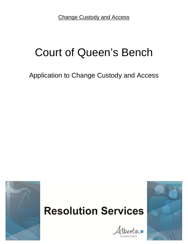Change Custody and Access

# Court of Queen's Bench

Application to Change Custody and Access

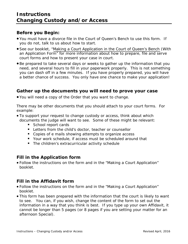## **Before you Begin:**

- You must have a divorce file in the Court of Queen's Bench to use this form. If you do not, talk to us about how to start.
- See our booklet, "[Making a Court Application in the Court of Queen's Bench](https://albertacourts.ca/docs/default-source/Family-Justice-Services/fjs_making_applicn_with_applicn_12.pdf?sfvrsn=0) (With an Application Form" for more information about how to prepare, file and serve court forms and how to present your case in court.
- Be prepared to take several days or weeks to gather up the information that you need, and several hours to fill in your paperwork properly. This is not something you can dash off in a few minutes. If you have properly prepared, you will have a better chance of success. You only have one chance to make your application!

# **Gather up the documents you will need to prove your case**

You will need a copy of the Order that you want to change.

There may be other documents that you should attach to your court forms. For example:

- To support your request to change custody or access, think about which documents the judge will want to see. Some of these might be relevant:
	- School report cards
	- **Letters from the child's doctor, teacher or counsellor**
	- Copies of e mails showing attempts to organize access
	- Your work schedule, if access must be scheduled around that
	- **The children's extracurricular activity schedule**

## **Fill in the Application form**

 Follow the instructions on the form and in the "Making a Court Application" booklet.

# **Fill in the Affidavit form**

- Follow the instructions on the form and in the "Making a Court Application" booklet.
- This form has been prepared with the information that the court is likely to want to see. You can, if you wish, change the content of the form to set out the information in a way that you think is best. If you type up your own Affidavit, it cannot be longer than 5 pages (or 8 pages if you are setting your matter for an afternoon Special).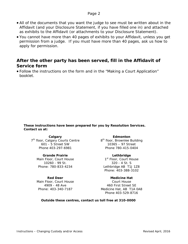### Page 2

- All of the documents that you want the judge to see must be written about in the Affidavit (and your Disclosure Statement, if you have filled one in) and attached as exhibits to the Affidavit (or attachments to your Disclosure Statement).
- You cannot have more than 40 pages of exhibits to your Affidavit, unless you get permission from a judge. If you must have more than 40 pages, ask us how to apply for permission.

## **After the other party has been served, fill in the Affidavit of Service form**

 Follow the instructions on the form and in the "Making a Court Application" booklet.

**These instructions have been prepared for you by Resolution Services. Contact us at:** 

#### **Calgary**

7<sup>th</sup> floor, Calgary Courts Centre 8<sup>th</sup> floor, Brownlee Building 601 - 5 Street SW Phone 403-297-6981

#### **Grande Prairie**

Main Floor, Court House 10260 - 99 St. Phone: 780-833-4234

**Red Deer** Main Floor, Court House 4909 - 48 Ave Phone: 403-340-7187

**Edmonton** 10365 – 97 Street Phone 780-415-0404

**Lethbridge**  1st Floor, Court House 320 - 4 St. S Lethbridge AB T1J 1Z8 Phone: 403-388-3102

**Medicine Hat**  Court House 460 First Street SE Medicine Hat, AB T1A 0A8 Phone 403-529-8716

#### **Outside these centres, contact us toll free at 310-0000**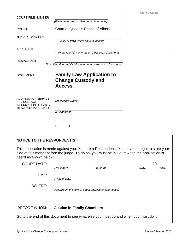|                                                                                                  |                                                                                | <b>Clerk's Stamp</b> |
|--------------------------------------------------------------------------------------------------|--------------------------------------------------------------------------------|----------------------|
| <b>COURT FILE NUMBER</b>                                                                         | (File number, as on other court documents)                                     |                      |
| <b>COURT</b>                                                                                     | Court of Queen's Bench of Alberta                                              |                      |
| <b>JUDICIAL CENTRE</b>                                                                           | (City or town where court is located)                                          |                      |
| <b>APPLICANT</b>                                                                                 | (Print your full name, as on other court documents)                            |                      |
| <b>RESPONDENT</b>                                                                                | (Print the other party's full name, as on other court documents)               |                      |
| <b>DOCUMENT</b>                                                                                  | <b>Family Law Application to</b><br><b>Change Custody and</b><br><b>Access</b> |                      |
| ADDRESS FOR SERVICE<br>AND CONTACT<br><b>INFORMATION OF PARTY</b><br><b>FILING THIS DOCUMENT</b> | (Applicant's Name)<br>(Full address)                                           |                      |
|                                                                                                  |                                                                                |                      |

| <b>NOTICE TO THE RESPONDENT(S)</b> |                                   |                                                                                              |                                                                                              |  |
|------------------------------------|-----------------------------------|----------------------------------------------------------------------------------------------|----------------------------------------------------------------------------------------------|--|
| heard as shown below:              |                                   | side of this matter before the judge. To do so, you must be in Court when the application is | This application is made against you. You are a Respondent. You have the right to state your |  |
| <b>COURT DATE:</b>                 |                                   |                                                                                              |                                                                                              |  |
|                                    | (Weekday)                         | (Month)                                                                                      |                                                                                              |  |
| TIME:                              |                                   |                                                                                              |                                                                                              |  |
|                                    | (Time of Day)                     |                                                                                              |                                                                                              |  |
| WHERE:                             |                                   |                                                                                              |                                                                                              |  |
|                                    |                                   | (Courtroom (if known), Street address of courthouse)                                         |                                                                                              |  |
|                                    |                                   |                                                                                              |                                                                                              |  |
|                                    |                                   |                                                                                              |                                                                                              |  |
| <b>BEFORE WHOM:</b>                | <b>Justice in Family Chambers</b> |                                                                                              |                                                                                              |  |
|                                    |                                   | Go to the end of this document to see what else you must do and when you must do it.         |                                                                                              |  |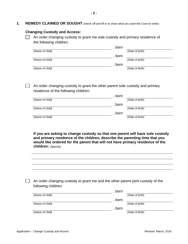**1. REMEDY CLAIMED OR SOUGHT** *(check off and fill in to show what you want the Court to order)*

#### **Changing Custody and Access:**

 $\Box$  An order changing custody to grant me sole custody and primary residence of the following children:

|                 | born            |
|-----------------|-----------------|
| (Name of child) | (Date of birth) |
|                 | born            |
| (Name of child) | (Date of birth) |
|                 | born            |
| (Name of child) | (Date of birth) |

 $\Box$  An order changing custody to grant the other parent sole custody and primary residence of the following children:

|                 | born            |
|-----------------|-----------------|
| (Name of child) | (Date of birth) |
|                 | born            |
| (Name of child) | (Date of birth) |
|                 | born            |
| (Name of child) | (Date of birth) |
|                 |                 |

**If you are asking to change custody so that one parent will have sole custody and primary residence of the children, describe the parenting time that you would like ordered for the parent that will not have primary residence of the children:** *(Specify)*

| An order changing custody to grant me and the other parent joint custody of the |
|---------------------------------------------------------------------------------|
| following children:                                                             |
| born                                                                            |

|                 | <b>DOIT</b> |                 |
|-----------------|-------------|-----------------|
| (Name of child) |             | (Date of birth) |
|                 | born        |                 |
| (Name of child) |             | (Date of birth) |
|                 | born        |                 |
| (Name of child) |             | (Date of birth) |
|                 |             |                 |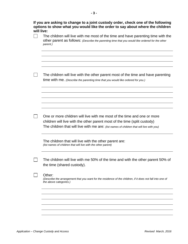| The children will live with me most of the time and have parenting time with the<br>other parent as follows: (Describe the parenting time that you would like ordered for the other<br>parent.)                                                   |
|---------------------------------------------------------------------------------------------------------------------------------------------------------------------------------------------------------------------------------------------------|
| The children will live with the other parent most of the time and have parenting<br>time with me. (Describe the parenting time that you would like ordered for you.)                                                                              |
|                                                                                                                                                                                                                                                   |
| One or more children will live with me most of the time and one or more<br>children will live with the other parent most of the time (split custody)<br>The children that will live with me are: (list names of children that will live with you) |
| The children that will live with the other parent are:<br>(list names of children that will live with the other parent)                                                                                                                           |
| The children will live with me 50% of the time and with the other parent 50% of<br>the time (shared custody).                                                                                                                                     |
| Other:<br>(Describe the arrangement that you want for the residence of the children, if it does not fall into one of<br>the above categories.)                                                                                                    |
|                                                                                                                                                                                                                                                   |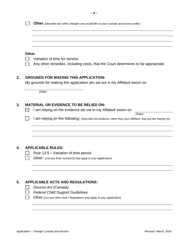| <b>Other</b> |                                                                                                                                                                               |
|--------------|-------------------------------------------------------------------------------------------------------------------------------------------------------------------------------|
|              | Variation of time for service.                                                                                                                                                |
|              | Any other remedies, including costs, that the Court determines to be appropriate.                                                                                             |
|              | <b>GROUNDS FOR MAKING THIS APPLICATION:</b>                                                                                                                                   |
|              | My grounds for making this application are set out in my Affidavit sworn on                                                                                                   |
|              | (Date)                                                                                                                                                                        |
|              |                                                                                                                                                                               |
|              |                                                                                                                                                                               |
|              | <b>MATERIAL OR EVIDENCE TO BE RELIED ON:</b>                                                                                                                                  |
| $\boxtimes$  | I am relying on the evidence set out in my Affidavit sworn on                                                                                                                 |
|              | (Date)                                                                                                                                                                        |
|              |                                                                                                                                                                               |
|              |                                                                                                                                                                               |
|              | <b>APPLICABLE RULES:</b>                                                                                                                                                      |
|              | Rule 13.5 – Variation of time period                                                                                                                                          |
|              | I am relying on the following: (Describe the evidence, other than your Affidavit, that you are relying on)<br>Other: (List any Rule number(s) that apply to your application) |
|              |                                                                                                                                                                               |
|              | <b>APPLICABLE ACTS AND REGULATIONS:</b>                                                                                                                                       |
|              | Divorce Act (Canada)                                                                                                                                                          |
|              | <b>Federal Child Support Guidelines</b>                                                                                                                                       |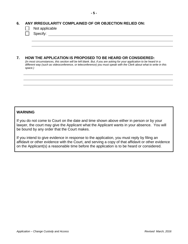## **6. ANY IRREGULARITY COMPLAINED OF OR OBJECTION RELIED ON:**

| Not applicable |
|----------------|
|                |

Specify: the state of the state of the state of the state of the state of the state of the state of the state of the state of the state of the state of the state of the state of the state of the state of the state of the s

## **7. HOW THE APPLICATION IS PROPOSED TO BE HEARD OR CONSIDERED:**

*(In most circumstances, this section will be left blank. But, if you are asking for your application to be heard in a different way (such as videoconference, or teleconference) you must speak with the Clerk about what to write in this space.)* 

## **WARNING**

If you do not come to Court on the date and time shown above either in person or by your lawyer, the court may give the Applicant what the Applicant wants in your absence. You will be bound by any order that the Court makes.

If you intend to give evidence in response to the application, you must reply by filing an affidavit or other evidence with the Court, and serving a copy of that affidavit or other evidence on the Applicant(s) a reasonable time before the application is to be heard or considered.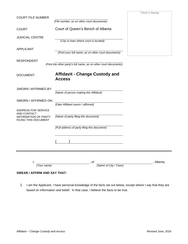| <b>COURT FILE NUMBER</b>                                                                         |                                                                                                                                                                                                                                                                                                                                                                    | <b>Clerk's Stamp</b> |
|--------------------------------------------------------------------------------------------------|--------------------------------------------------------------------------------------------------------------------------------------------------------------------------------------------------------------------------------------------------------------------------------------------------------------------------------------------------------------------|----------------------|
|                                                                                                  | (File number, as on other court documents)                                                                                                                                                                                                                                                                                                                         |                      |
| <b>COURT</b>                                                                                     | Court of Queen's Bench of Alberta                                                                                                                                                                                                                                                                                                                                  |                      |
| <b>JUDICIAL CENTRE</b>                                                                           | (City or town where court is located)                                                                                                                                                                                                                                                                                                                              |                      |
| <b>APPLICANT</b>                                                                                 | (Print your full name, as on other court documents)                                                                                                                                                                                                                                                                                                                |                      |
| <b>RESPONDENT</b>                                                                                | (Print the other party's full name, as on other court documents)                                                                                                                                                                                                                                                                                                   |                      |
| <b>DOCUMENT:</b>                                                                                 | <b>Affidavit - Change Custody and</b><br><b>Access</b>                                                                                                                                                                                                                                                                                                             |                      |
| SWORN / AFFIRMED BY:                                                                             | (Name of person making this Affidavit)                                                                                                                                                                                                                                                                                                                             |                      |
| SWORN / AFFIRMED ON:                                                                             | (Date Affidavit sworn / affirmed)                                                                                                                                                                                                                                                                                                                                  |                      |
| ADDRESS FOR SERVICE<br><b>AND CONTACT</b><br><b>INFORMATION OF PARTY</b><br>FILING THIS DOCUMENT | (Name of party filing this document)                                                                                                                                                                                                                                                                                                                               |                      |
|                                                                                                  | (Full address of party filing this document)                                                                                                                                                                                                                                                                                                                       |                      |
|                                                                                                  | $\begin{picture}(100,20)(0,0) \put(0,0){\vector(1,0){100}} \put(15,0){\vector(1,0){100}} \put(15,0){\vector(1,0){100}} \put(15,0){\vector(1,0){100}} \put(15,0){\vector(1,0){100}} \put(15,0){\vector(1,0){100}} \put(15,0){\vector(1,0){100}} \put(15,0){\vector(1,0){100}} \put(15,0){\vector(1,0){100}} \put(15,0){\vector(1,0){100}} \put(15,0){\vector(1,0){$ |                      |
|                                                                                                  | ,of                                                                                                                                                                                                                                                                                                                                                                | . Alberta.           |
| (Your name)                                                                                      | (Name of City / Town)                                                                                                                                                                                                                                                                                                                                              |                      |

## **SWEAR / AFFIRM AND SAY THAT:**

1. I am the Applicant. I have personal knowledge of the facts set out below, except where I say that they are based on information and belief. In that case, I believe the facts to be true.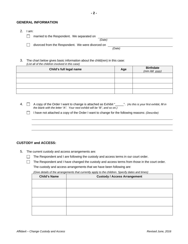#### **GENERAL INFORMATION**

- 2. I am:
- **T** married to the Respondent. We separated on *(Date)*

divorced from the Respondent. We were divorced on

 *(Date)* 

3. The chart below gives basic information about the child(ren) in this case: *(List all of the children involved in this case)* 

| Child's full legal name | Age | <b>Birthdate</b><br>$(mm/dd$ yyyy) |
|-------------------------|-----|------------------------------------|
|                         |     |                                    |
|                         |     |                                    |
|                         |     |                                    |
|                         |     |                                    |

- 4. A copy of the Order I want to change is attached as Exhibit "\_\_\_\_\_". *(As this is your first exhibit, fill in the blank with the letter "A". Your next exhibit will be "B", and so on.)* 
	- I have not attached a copy of the Order I want to change for the following reasons: *(Describe)*

#### **CUSTODY and ACCESS:**

- 5. The current custody and access arrangements are:
	- $\Box$  The Respondent and I are following the custody and access terms in our court order.

 $\Box$ The Respondent and I have changed the custody and access terms from those in the court order. The custody and access arrangements that we have been following are:

*(Give details of the arrangements that currently apply to the children. Specify dates and times)*

| <b>Child's Name</b> | <b>Custody / Access Arrangement</b> |
|---------------------|-------------------------------------|
|                     |                                     |
|                     |                                     |
|                     |                                     |
|                     |                                     |
|                     |                                     |
|                     |                                     |
|                     |                                     |
|                     |                                     |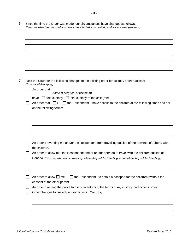| I ask the Court for the following changes to the existing order for custody and/or access:                                                           |
|------------------------------------------------------------------------------------------------------------------------------------------------------|
| (Choose all that apply)                                                                                                                              |
| An order that<br>(Name of party(ies) or person(s))                                                                                                   |
| have $\Box$ sole custody $\Box$ joint custody of the child(ren).                                                                                     |
| An order that $\Box$ I<br>$\Box$ the Respondent have access to the children at the following times and / or                                          |
| on the following terms:                                                                                                                              |
|                                                                                                                                                      |
|                                                                                                                                                      |
|                                                                                                                                                      |
|                                                                                                                                                      |
|                                                                                                                                                      |
|                                                                                                                                                      |
| An order preventing me and/or the Respondent from travelling outside of the province of Alberta with                                                 |
| the children.                                                                                                                                        |
|                                                                                                                                                      |
| An order to allow me, the Respondent and/or another person to travel with the children outside of                                                    |
| Canada. (Describe who will be travelling, where they will be travelling to and when they will be travelling.)                                        |
|                                                                                                                                                      |
|                                                                                                                                                      |
|                                                                                                                                                      |
| An order to allow $\Box$ me<br>$\Box$ the Respondent to obtain a passport for the child(ren) without the                                             |
| consent of the other parent.                                                                                                                         |
| An order directing the police to assist in enforcing the terms of my custody and access order.<br>Other changes to custody and/or access: (Describe) |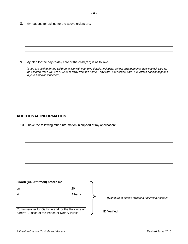8. My reasons for asking for the above orders are:

| 9. | My plan for the day-to-day care of the child(ren) is as follows:                                                                                                                                                                                                                   |
|----|------------------------------------------------------------------------------------------------------------------------------------------------------------------------------------------------------------------------------------------------------------------------------------|
|    | (If you are asking for the children to live with you, give details, including: school arrangements, how you will care for<br>the children when you are at work or away from the home - day care, after school care, etc. Attach additional pages<br>to your Affidavit, if needed.) |
|    |                                                                                                                                                                                                                                                                                    |
|    |                                                                                                                                                                                                                                                                                    |
|    |                                                                                                                                                                                                                                                                                    |
|    |                                                                                                                                                                                                                                                                                    |
|    |                                                                                                                                                                                                                                                                                    |
|    | <b>ADDITIONAL INFORMATION</b>                                                                                                                                                                                                                                                      |

10. I have the following other information in support of my application:

| Sworn (OR Affirmed) before me                                                                       |          |                                                      |
|-----------------------------------------------------------------------------------------------------|----------|------------------------------------------------------|
| on.                                                                                                 | 20       |                                                      |
| at                                                                                                  | Alberta. |                                                      |
|                                                                                                     |          | (Signature of person swearing / affirming Affidavit) |
| Commissioner for Oaths in and for the Province of<br>Alberta, Justice of the Peace or Notary Public |          | <b>ID</b> Verified                                   |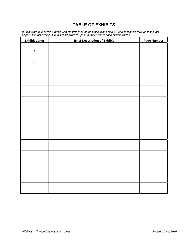# **TABLE OF EXHIBITS**

*(Exhibits are numbered, starting with the first page of the first exhibit being #1, and continuing through to the last page of the last exhibit. On this chart, write the page number where each exhibit starts.)* 

| <b>Exhibit Letter</b> | <b>Brief Description of Exhibit</b> | Page Number |
|-----------------------|-------------------------------------|-------------|
|                       |                                     |             |
| $\mathsf A$           |                                     |             |
|                       |                                     |             |
| $\sf B$               |                                     |             |
|                       |                                     |             |
|                       |                                     |             |
|                       |                                     |             |
|                       |                                     |             |
|                       |                                     |             |
|                       |                                     |             |
|                       |                                     |             |
|                       |                                     |             |
|                       |                                     |             |
|                       |                                     |             |
|                       |                                     |             |
|                       |                                     |             |
|                       |                                     |             |
|                       |                                     |             |
|                       |                                     |             |
|                       |                                     |             |
|                       |                                     |             |
|                       |                                     |             |
|                       |                                     |             |
|                       |                                     |             |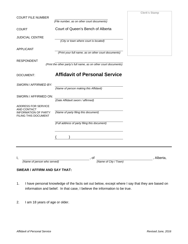| <b>COURT FILE NUMBER</b>                     |                                                                  | <b>Clerk's Stamp</b> |
|----------------------------------------------|------------------------------------------------------------------|----------------------|
|                                              | (File number, as on other court documents)                       |                      |
| <b>COURT</b>                                 | Court of Queen's Bench of Alberta                                |                      |
| <b>JUDICIAL CENTRE</b>                       | (City or town where court is located)                            |                      |
| <b>APPLICANT</b>                             |                                                                  |                      |
|                                              | (Print your full name, as on other court documents)              |                      |
| <b>RESPONDENT</b>                            | (Print the other party's full name, as on other court documents) |                      |
| <b>DOCUMENT:</b>                             | <b>Affidavit of Personal Service</b>                             |                      |
| SWORN/AFFIRMED BY:                           | (Name of person making this Affidavit)                           |                      |
| SWORN / AFFIRMED ON:                         | (Date Affidavit sworn / affirmed)                                |                      |
| ADDRESS FOR SERVICE<br>AND CONTACT           |                                                                  |                      |
| INFORMATION OF PARTY<br>FILING THIS DOCUMENT | (Name of party filing this document)                             |                      |
|                                              | (Full address of party filing this document)                     |                      |
|                                              |                                                                  |                      |
|                                              |                                                                  |                      |
| I.<br>(Name of person who served)            | οf<br>(Name of City / Town)                                      | Alberta,             |

# **SWEAR / AFFIRM AND SAY THAT:**

- 1. I have personal knowledge of the facts set out below, except where I say that they are based on information and belief. In that case, I believe the information to be true.
- 2. I am 18 years of age or older.